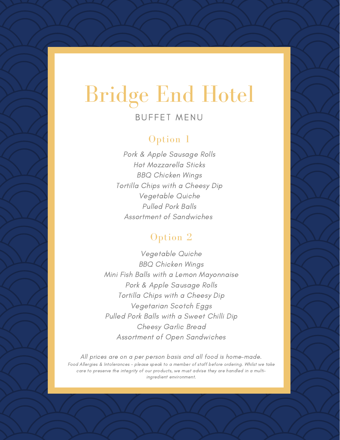# Bridge End Hotel

### BUFFFT MENU

### Option 1

Pork & Apple Sausage Rolls Hot Mozzarella Sticks BBQ Chicken Wings Tortilla Chips with a Cheesy Dip Vegetable Quiche Pulled Pork Balls Assortment of Sandwiches

### Option 2

Vegetable Quiche BBQ Chicken Wings Mini Fish Balls with a Lemon Mayonnaise Pork & Apple Sausage Rolls Tortilla Chips with a Cheesy Dip Vegetarian Scotch Eggs Pulled Pork Balls with a Sweet Chilli Dip Cheesy Garlic Bread Assortment of Open Sandwiches

All prices are on a per person basis and all food is home-made. Food Allergies & Intolerances - please speak to a member of staff before ordering. Whilst we take care to preserve the integrity of our products, we must advise they are handled in a multiingredient environment.